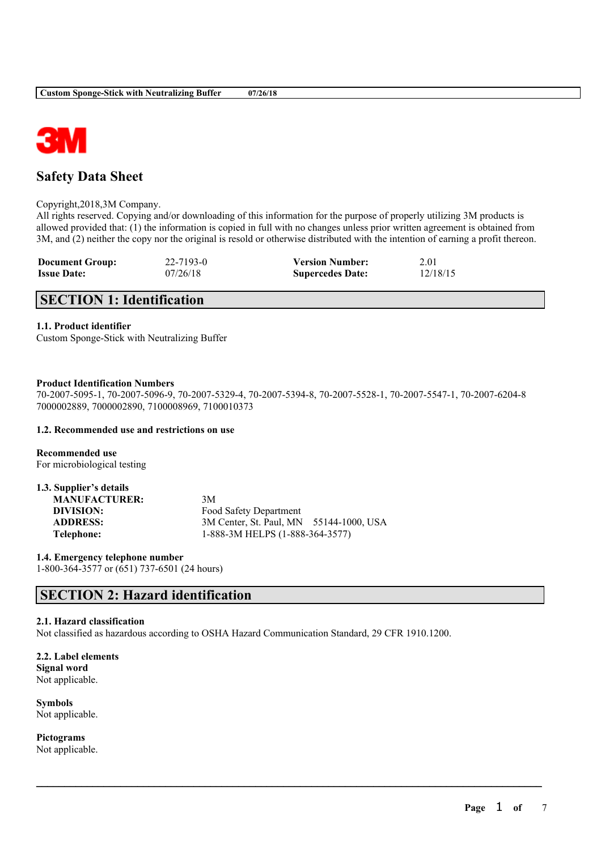

# **Safety Data Sheet**

Copyright,2018,3M Company.

All rights reserved. Copying and/or downloading of this information for the purpose of properly utilizing 3M products is allowed provided that: (1) the information is copied in full with no changes unless prior written agreement is obtained from 3M, and (2) neither the copy nor the original is resold or otherwise distributed with the intention of earning a profit thereon.

| <b>Document Group:</b> | 22-7193-0 | <b>Version Number:</b>  | 2.01     |
|------------------------|-----------|-------------------------|----------|
| <b>Issue Date:</b>     | 07/26/18  | <b>Supercedes Date:</b> | 12/18/15 |

# **SECTION 1: Identification**

## **1.1. Product identifier**

Custom Sponge-Stick with Neutralizing Buffer

### **Product Identification Numbers**

70-2007-5095-1, 70-2007-5096-9, 70-2007-5329-4, 70-2007-5394-8, 70-2007-5528-1, 70-2007-5547-1, 70-2007-6204-8 7000002889, 7000002890, 7100008969, 7100010373

## **1.2. Recommended use and restrictions on use**

**Recommended use** For microbiological testing

| 1.3. Supplier's details |                                         |
|-------------------------|-----------------------------------------|
| <b>MANUFACTURER:</b>    | 3M                                      |
| DIVISION:               | Food Safety Department                  |
| <b>ADDRESS:</b>         | 3M Center, St. Paul, MN 55144-1000, USA |
| Telephone:              | 1-888-3M HELPS (1-888-364-3577)         |

**1.4. Emergency telephone number** 1-800-364-3577 or (651) 737-6501 (24 hours)

# **SECTION 2: Hazard identification**

## **2.1. Hazard classification**

Not classified as hazardous according to OSHA Hazard Communication Standard, 29 CFR 1910.1200.

 $\mathcal{L}_\mathcal{L} = \mathcal{L}_\mathcal{L} = \mathcal{L}_\mathcal{L} = \mathcal{L}_\mathcal{L} = \mathcal{L}_\mathcal{L} = \mathcal{L}_\mathcal{L} = \mathcal{L}_\mathcal{L} = \mathcal{L}_\mathcal{L} = \mathcal{L}_\mathcal{L} = \mathcal{L}_\mathcal{L} = \mathcal{L}_\mathcal{L} = \mathcal{L}_\mathcal{L} = \mathcal{L}_\mathcal{L} = \mathcal{L}_\mathcal{L} = \mathcal{L}_\mathcal{L} = \mathcal{L}_\mathcal{L} = \mathcal{L}_\mathcal{L}$ 

**2.2. Label elements Signal word** Not applicable.

**Symbols** Not applicable.

**Pictograms** Not applicable.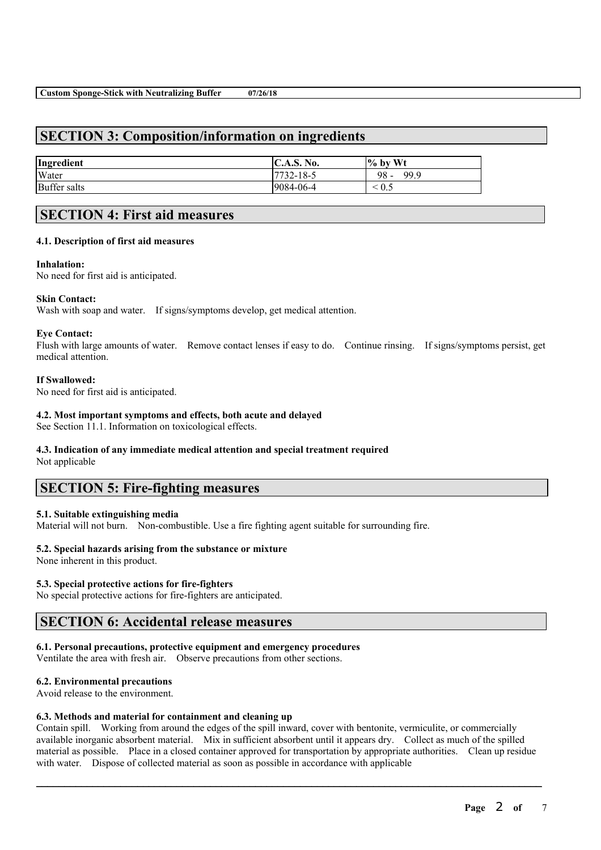# **SECTION 3: Composition/information on ingredients**

| Ingredient          | C.A.S. No.      | $\%$ by Wt   |
|---------------------|-----------------|--------------|
| Water               | $7732 - 18 - 5$ | - 98<br>99.9 |
| <b>Buffer salts</b> | 9084-06-4       | 0.5          |

# **SECTION 4: First aid measures**

## **4.1. Description of first aid measures**

### **Inhalation:**

No need for first aid is anticipated.

## **Skin Contact:**

Wash with soap and water. If signs/symptoms develop, get medical attention.

### **Eye Contact:**

Flush with large amounts of water. Remove contact lenses if easy to do. Continue rinsing. If signs/symptoms persist, get medical attention.

### **If Swallowed:**

No need for first aid is anticipated.

## **4.2. Most important symptoms and effects, both acute and delayed**

See Section 11.1. Information on toxicological effects.

# **4.3. Indication of any immediate medical attention and special treatment required**

Not applicable

# **SECTION 5: Fire-fighting measures**

## **5.1. Suitable extinguishing media**

Material will not burn. Non-combustible. Use a fire fighting agent suitable for surrounding fire.

## **5.2. Special hazards arising from the substance or mixture**

None inherent in this product.

## **5.3. Special protective actions for fire-fighters**

No special protective actions for fire-fighters are anticipated.

# **SECTION 6: Accidental release measures**

## **6.1. Personal precautions, protective equipment and emergency procedures**

Ventilate the area with fresh air. Observe precautions from other sections.

## **6.2. Environmental precautions**

Avoid release to the environment.

## **6.3. Methods and material for containment and cleaning up**

Contain spill. Working from around the edges of the spill inward, cover with bentonite, vermiculite, or commercially available inorganic absorbent material. Mix in sufficient absorbent until it appears dry. Collect as much of the spilled material as possible. Place in a closed container approved for transportation by appropriate authorities. Clean up residue with water. Dispose of collected material as soon as possible in accordance with applicable

 $\mathcal{L}_\mathcal{L} = \mathcal{L}_\mathcal{L} = \mathcal{L}_\mathcal{L} = \mathcal{L}_\mathcal{L} = \mathcal{L}_\mathcal{L} = \mathcal{L}_\mathcal{L} = \mathcal{L}_\mathcal{L} = \mathcal{L}_\mathcal{L} = \mathcal{L}_\mathcal{L} = \mathcal{L}_\mathcal{L} = \mathcal{L}_\mathcal{L} = \mathcal{L}_\mathcal{L} = \mathcal{L}_\mathcal{L} = \mathcal{L}_\mathcal{L} = \mathcal{L}_\mathcal{L} = \mathcal{L}_\mathcal{L} = \mathcal{L}_\mathcal{L}$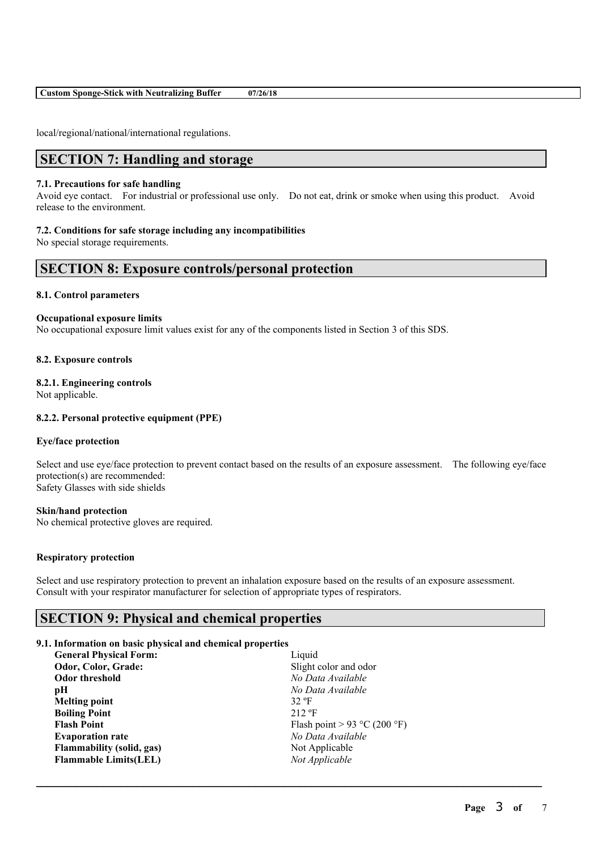**Custom Sponge-Stick with Neutralizing Buffer 07/26/18**

local/regional/national/international regulations.

# **SECTION 7: Handling and storage**

### **7.1. Precautions for safe handling**

Avoid eye contact. For industrial or professional use only. Do not eat, drink or smoke when using this product. Avoid release to the environment.

### **7.2. Conditions for safe storage including any incompatibilities**

No special storage requirements.

# **SECTION 8: Exposure controls/personal protection**

## **8.1. Control parameters**

### **Occupational exposure limits**

No occupational exposure limit values exist for any of the components listed in Section 3 of this SDS.

### **8.2. Exposure controls**

## **8.2.1. Engineering controls**

Not applicable.

## **8.2.2. Personal protective equipment (PPE)**

#### **Eye/face protection**

Select and use eye/face protection to prevent contact based on the results of an exposure assessment. The following eye/face protection(s) are recommended: Safety Glasses with side shields

## **Skin/hand protection**

No chemical protective gloves are required.

### **Respiratory protection**

Select and use respiratory protection to prevent an inhalation exposure based on the results of an exposure assessment. Consult with your respirator manufacturer for selection of appropriate types of respirators.

 $\mathcal{L}_\mathcal{L} = \mathcal{L}_\mathcal{L} = \mathcal{L}_\mathcal{L} = \mathcal{L}_\mathcal{L} = \mathcal{L}_\mathcal{L} = \mathcal{L}_\mathcal{L} = \mathcal{L}_\mathcal{L} = \mathcal{L}_\mathcal{L} = \mathcal{L}_\mathcal{L} = \mathcal{L}_\mathcal{L} = \mathcal{L}_\mathcal{L} = \mathcal{L}_\mathcal{L} = \mathcal{L}_\mathcal{L} = \mathcal{L}_\mathcal{L} = \mathcal{L}_\mathcal{L} = \mathcal{L}_\mathcal{L} = \mathcal{L}_\mathcal{L}$ 

# **SECTION 9: Physical and chemical properties**

#### **9.1. Information on basic physical and chemical properties**

| <b>General Physical Form:</b> | Liquid                       |
|-------------------------------|------------------------------|
| Odor, Color, Grade:           | Slight color and odor        |
| Odor threshold                | No Data Available            |
| рH                            | No Data Available            |
| <b>Melting point</b>          | $32$ °F                      |
| <b>Boiling Point</b>          | $212 \text{ }^{\circ}F$      |
| <b>Flash Point</b>            | Flash point > 93 °C (200 °F) |
| <b>Evaporation rate</b>       | No Data Available            |
| Flammability (solid, gas)     | Not Applicable               |
| <b>Flammable Limits(LEL)</b>  | Not Applicable               |
|                               |                              |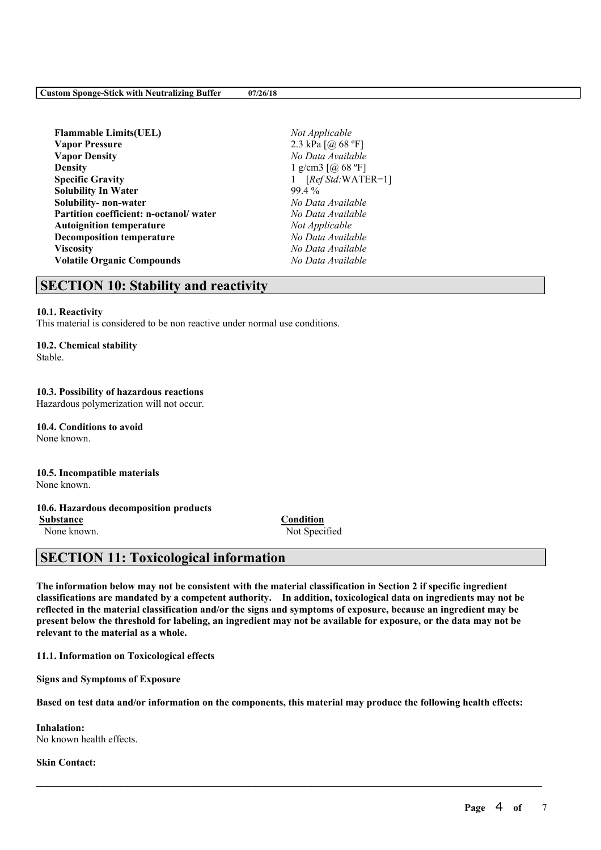| <b>Flammable Limits(UEL)</b>           | Not Ap            |
|----------------------------------------|-------------------|
| <b>Vapor Pressure</b>                  | $2.3 \text{ kPa}$ |
| <b>Vapor Density</b>                   | No Dai            |
| Densitv                                | $1$ g/cm          |
| <b>Specific Gravity</b>                | [Re               |
| <b>Solubility In Water</b>             | 99.4 %            |
| Solubility- non-water                  | No Dai            |
| Partition coefficient: n-octanol/water | No Dat            |
| <b>Autoignition temperature</b>        | Not Ap            |
| <b>Decomposition temperature</b>       | No Dat            |
| Viscositv                              | No Dat            |
| <b>Volatile Organic Compounds</b>      | No Dat            |
|                                        |                   |

**Flammable Limits(UEL)** *Not Applicable* **Vapor Pressure** 2.3 kPa [@ 68 ºF] **Vapor Density** *No Data Available* **g/cm3** [@ 68 °F] **Specific Gravity** 1 [*Ref Std:*WATER=1] **Solubility- non-water** *No Data Available* **Partition coefficient: n-octanol/ water** *No Data Available* **Not** *Applicable* **Decomposition temperature** *No Data Available* **Viscosity** *No Data Available* **Volatile Organic Compounds** *No Data Available*

# **SECTION 10: Stability and reactivity**

### **10.1. Reactivity**

This material is considered to be non reactive under normal use conditions.

### **10.2. Chemical stability**

Stable.

## **10.3. Possibility of hazardous reactions**

Hazardous polymerization will not occur.

**10.4. Conditions to avoid** None known.

#### **10.5. Incompatible materials** None known.

## **10.6. Hazardous decomposition products**

**Substance Condition** None known. Not Specified

# **SECTION 11: Toxicological information**

The information below may not be consistent with the material classification in Section 2 if specific ingredient **classifications are mandated by a competent authority. In addition, toxicological data on ingredients may not be** reflected in the material classification and/or the signs and symptoms of exposure, because an ingredient may be present below the threshold for labeling, an ingredient may not be available for exposure, or the data may not be **relevant to the material as a whole.**

**11.1. Information on Toxicological effects**

**Signs and Symptoms of Exposure**

Based on test data and/or information on the components, this material may produce the following health effects:

 $\mathcal{L}_\mathcal{L} = \mathcal{L}_\mathcal{L} = \mathcal{L}_\mathcal{L} = \mathcal{L}_\mathcal{L} = \mathcal{L}_\mathcal{L} = \mathcal{L}_\mathcal{L} = \mathcal{L}_\mathcal{L} = \mathcal{L}_\mathcal{L} = \mathcal{L}_\mathcal{L} = \mathcal{L}_\mathcal{L} = \mathcal{L}_\mathcal{L} = \mathcal{L}_\mathcal{L} = \mathcal{L}_\mathcal{L} = \mathcal{L}_\mathcal{L} = \mathcal{L}_\mathcal{L} = \mathcal{L}_\mathcal{L} = \mathcal{L}_\mathcal{L}$ 

**Inhalation:** No known health effects.

**Skin Contact:**

**Page** 4 **of** 7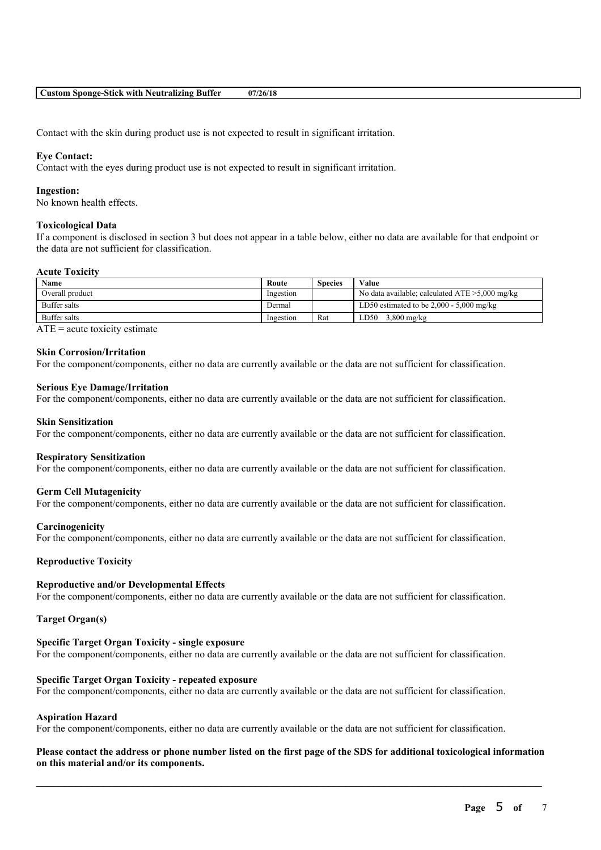Contact with the skin during product use is not expected to result in significant irritation.

### **Eye Contact:**

Contact with the eyes during product use is not expected to result in significant irritation.

#### **Ingestion:**

No known health effects.

### **Toxicological Data**

If a component is disclosed in section 3 but does not appear in a table below, either no data are available for that endpoint or the data are not sufficient for classification.

#### **Acute Toxicity**

| Name            | Route     | Species | Value                                             |
|-----------------|-----------|---------|---------------------------------------------------|
| Overall product | Ingestion |         | No data available; calculated $ATE > 5,000$ mg/kg |
| Buffer salts    | Dermal    |         | LD50 estimated to be $2,000 - 5,000$ mg/kg        |
| Buffer salts    | Ingestion | Rat     | $3,800$ mg/kg<br>LD50                             |

 $ATE = acute$  toxicity estimate

## **Skin Corrosion/Irritation**

For the component/components, either no data are currently available or the data are not sufficient for classification.

#### **Serious Eye Damage/Irritation**

For the component/components, either no data are currently available or the data are not sufficient for classification.

#### **Skin Sensitization**

For the component/components, either no data are currently available or the data are not sufficient for classification.

### **Respiratory Sensitization**

For the component/components, either no data are currently available or the data are not sufficient for classification.

#### **Germ Cell Mutagenicity**

For the component/components, either no data are currently available or the data are not sufficient for classification.

#### **Carcinogenicity**

For the component/components, either no data are currently available or the data are not sufficient for classification.

#### **Reproductive Toxicity**

#### **Reproductive and/or Developmental Effects**

For the component/components, either no data are currently available or the data are not sufficient for classification.

#### **Target Organ(s)**

#### **Specific Target Organ Toxicity - single exposure**

For the component/components, either no data are currently available or the data are not sufficient for classification.

#### **Specific Target Organ Toxicity - repeated exposure**

For the component/components, either no data are currently available or the data are not sufficient for classification.

### **Aspiration Hazard**

For the component/components, either no data are currently available or the data are not sufficient for classification.

## Please contact the address or phone number listed on the first page of the SDS for additional toxicological information **on this material and/or its components.**

 $\mathcal{L}_\mathcal{L} = \mathcal{L}_\mathcal{L} = \mathcal{L}_\mathcal{L} = \mathcal{L}_\mathcal{L} = \mathcal{L}_\mathcal{L} = \mathcal{L}_\mathcal{L} = \mathcal{L}_\mathcal{L} = \mathcal{L}_\mathcal{L} = \mathcal{L}_\mathcal{L} = \mathcal{L}_\mathcal{L} = \mathcal{L}_\mathcal{L} = \mathcal{L}_\mathcal{L} = \mathcal{L}_\mathcal{L} = \mathcal{L}_\mathcal{L} = \mathcal{L}_\mathcal{L} = \mathcal{L}_\mathcal{L} = \mathcal{L}_\mathcal{L}$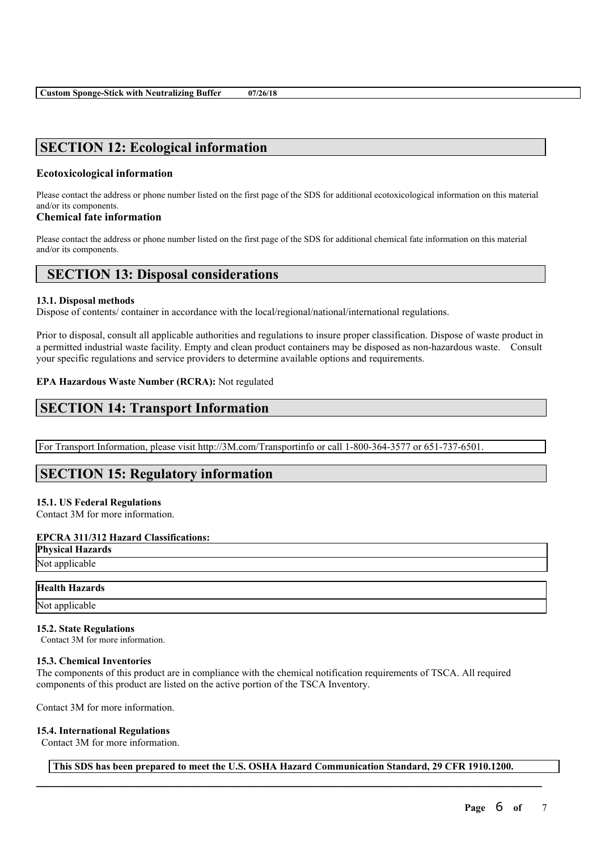# **SECTION 12: Ecological information**

# **Ecotoxicological information**

Please contact the address or phone number listed on the first page of the SDS for additional ecotoxicological information on this material and/or its components.

# **Chemical fate information**

Please contact the address or phone number listed on the first page of the SDS for additional chemical fate information on this material and/or its components.

# **SECTION 13: Disposal considerations**

# **13.1. Disposal methods**

Dispose of contents/ container in accordance with the local/regional/national/international regulations.

Prior to disposal, consult all applicable authorities and regulations to insure proper classification. Dispose of waste product in a permitted industrial waste facility. Empty and clean product containers may be disposed as non-hazardous waste. Consult your specific regulations and service providers to determine available options and requirements.

# **EPA Hazardous Waste Number (RCRA):** Not regulated

# **SECTION 14: Transport Information**

For Transport Information, please visit http://3M.com/Transportinfo or call 1-800-364-3577 or 651-737-6501.

# **SECTION 15: Regulatory information**

# **15.1. US Federal Regulations**

Contact 3M for more information.

# **EPCRA 311/312 Hazard Classifications:**

**Physical Hazards** Not applicable

# **Health Hazards**

Not applicable

# **15.2. State Regulations**

Contact 3M for more information.

# **15.3. Chemical Inventories**

The components of this product are in compliance with the chemical notification requirements of TSCA. All required components of this product are listed on the active portion of the TSCA Inventory.

Contact 3M for more information.

# **15.4. International Regulations**

Contact 3M for more information.

 $\mathcal{L}_\mathcal{L} = \mathcal{L}_\mathcal{L} = \mathcal{L}_\mathcal{L} = \mathcal{L}_\mathcal{L} = \mathcal{L}_\mathcal{L} = \mathcal{L}_\mathcal{L} = \mathcal{L}_\mathcal{L} = \mathcal{L}_\mathcal{L} = \mathcal{L}_\mathcal{L} = \mathcal{L}_\mathcal{L} = \mathcal{L}_\mathcal{L} = \mathcal{L}_\mathcal{L} = \mathcal{L}_\mathcal{L} = \mathcal{L}_\mathcal{L} = \mathcal{L}_\mathcal{L} = \mathcal{L}_\mathcal{L} = \mathcal{L}_\mathcal{L}$ **This SDS has been prepared to meet the U.S. OSHA Hazard Communication Standard, 29 CFR 1910.1200.**